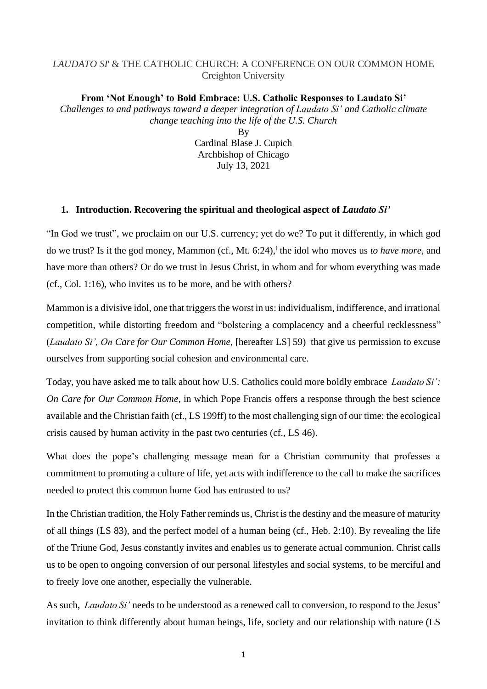# *LAUDATO SI*' & THE CATHOLIC CHURCH: A CONFERENCE ON OUR COMMON HOME Creighton University

#### **From 'Not Enough' to Bold Embrace: U.S. Catholic Responses to Laudato Si'**

*Challenges to and pathways toward a deeper integration of Laudato Si' and Catholic climate change teaching into the life of the U.S. Church*

> **B**<sub>V</sub> Cardinal Blase J. Cupich Archbishop of Chicago July 13, 2021

#### **1. Introduction. Recovering the spiritual and theological aspect of** *Laudato Si'*

"In God we trust", we proclaim on our U.S. currency; yet do we? To put it differently, in which god do we trust? Is it the god money, Mammon (cf., Mt. 6:24), i the idol who moves us *to have more*, and have more than others? Or do we trust in Jesus Christ, in whom and for whom everything was made (cf., Col. 1:16), who invites us to be more, and be with others?

Mammon is a divisive idol, one that triggers the worst in us: individualism, indifference, and irrational competition, while distorting freedom and "bolstering a complacency and a cheerful recklessness" (*Laudato Si', On Care for Our Common Home,* [hereafter LS] 59) that give us permission to excuse ourselves from supporting social cohesion and environmental care.

Today, you have asked me to talk about how U.S. Catholics could more boldly embrace *Laudato Si': On Care for Our Common Home,* in which Pope Francis offers a response through the best science available and the Christian faith (cf., LS 199ff) to the most challenging sign of our time: the ecological crisis caused by human activity in the past two centuries (cf., LS 46).

What does the pope's challenging message mean for a Christian community that professes a commitment to promoting a culture of life, yet acts with indifference to the call to make the sacrifices needed to protect this common home God has entrusted to us?

In the Christian tradition, the Holy Father reminds us, Christ is the destiny and the measure of maturity of all things (LS 83), and the perfect model of a human being (cf., Heb. 2:10). By revealing the life of the Triune God, Jesus constantly invites and enables us to generate actual communion. Christ calls us to be open to ongoing conversion of our personal lifestyles and social systems, to be merciful and to freely love one another, especially the vulnerable.

As such, *Laudato Si'* needs to be understood as a renewed call to conversion, to respond to the Jesus' invitation to think differently about human beings, life, society and our relationship with nature (LS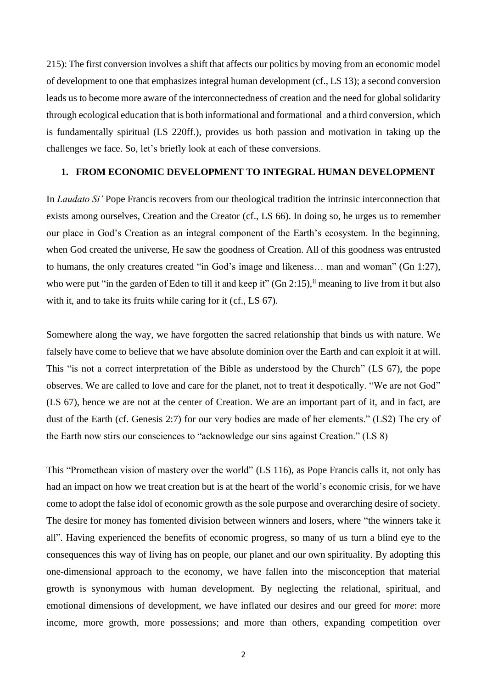215): The first conversion involves a shift that affects our politics by moving from an economic model of development to one that emphasizes integral human development (cf., LS 13); a second conversion leads us to become more aware of the interconnectedness of creation and the need for global solidarity through ecological education that is both informational and formational and a third conversion, which is fundamentally spiritual (LS 220ff.), provides us both passion and motivation in taking up the challenges we face. So, let's briefly look at each of these conversions.

## **1. FROM ECONOMIC DEVELOPMENT TO INTEGRAL HUMAN DEVELOPMENT**

In *Laudato Si'* Pope Francis recovers from our theological tradition the intrinsic interconnection that exists among ourselves, Creation and the Creator (cf., LS 66). In doing so, he urges us to remember our place in God's Creation as an integral component of the Earth's ecosystem. In the beginning, when God created the universe, He saw the goodness of Creation. All of this goodness was entrusted to humans, the only creatures created "in God's image and likeness… man and woman" (Gn 1:27), who were put "in the garden of Eden to till it and keep it" (Gn 2:15),  $\ddot{a}$  meaning to live from it but also with it, and to take its fruits while caring for it (cf., LS 67).

Somewhere along the way, we have forgotten the sacred relationship that binds us with nature. We falsely have come to believe that we have absolute dominion over the Earth and can exploit it at will. This "is not a correct interpretation of the Bible as understood by the Church" (LS 67), the pope observes. We are called to love and care for the planet, not to treat it despotically. "We are not God" (LS 67), hence we are not at the center of Creation. We are an important part of it, and in fact, are dust of the Earth (cf. Genesis 2:7) for our very bodies are made of her elements." (LS2) The cry of the Earth now stirs our consciences to "acknowledge our sins against Creation." (LS 8)

This "Promethean vision of mastery over the world" (LS 116), as Pope Francis calls it, not only has had an impact on how we treat creation but is at the heart of the world's economic crisis, for we have come to adopt the false idol of economic growth as the sole purpose and overarching desire of society. The desire for money has fomented division between winners and losers, where "the winners take it all". Having experienced the benefits of economic progress, so many of us turn a blind eye to the consequences this way of living has on people, our planet and our own spirituality. By adopting this one-dimensional approach to the economy, we have fallen into the misconception that material growth is synonymous with human development. By neglecting the relational, spiritual, and emotional dimensions of development, we have inflated our desires and our greed for *more*: more income, more growth, more possessions; and more than others, expanding competition over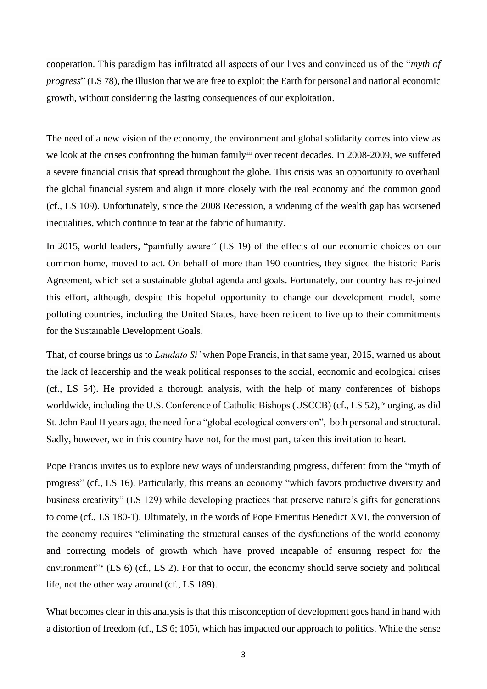cooperation. This paradigm has infiltrated all aspects of our lives and convinced us of the "*myth of progress*" (LS 78), the illusion that we are free to exploit the Earth for personal and national economic growth, without considering the lasting consequences of our exploitation.

The need of a new vision of the economy, the environment and global solidarity comes into view as we look at the crises confronting the human family<sup>iii</sup> over recent decades. In 2008-2009, we suffered a severe financial crisis that spread throughout the globe. This crisis was an opportunity to overhaul the global financial system and align it more closely with the real economy and the common good (cf., LS 109). Unfortunately, since the 2008 Recession, a widening of the wealth gap has worsened inequalities, which continue to tear at the fabric of humanity.

In 2015, world leaders, "painfully aware*"* (LS 19) of the effects of our economic choices on our common home, moved to act. On behalf of more than 190 countries, they signed the historic Paris Agreement, which set a sustainable global agenda and goals. Fortunately, our country has re-joined this effort, although, despite this hopeful opportunity to change our development model, some polluting countries, including the United States, have been reticent to live up to their commitments for the Sustainable Development Goals.

That, of course brings us to *Laudato Si'* when Pope Francis, in that same year, 2015, warned us about the lack of leadership and the weak political responses to the social, economic and ecological crises (cf., LS 54). He provided a thorough analysis, with the help of many conferences of bishops worldwide, including the U.S. Conference of Catholic Bishops (USCCB) (cf., LS 52),<sup>iv</sup> urging, as did St. John Paul II years ago, the need for a "global ecological conversion", both personal and structural. Sadly, however, we in this country have not, for the most part, taken this invitation to heart.

Pope Francis invites us to explore new ways of understanding progress, different from the "myth of progress" (cf., LS 16). Particularly, this means an economy "which favors productive diversity and business creativity" (LS 129) while developing practices that preserve nature's gifts for generations to come (cf., LS 180-1). Ultimately, in the words of Pope Emeritus Benedict XVI, the conversion of the economy requires "eliminating the structural causes of the dysfunctions of the world economy and correcting models of growth which have proved incapable of ensuring respect for the environment" (LS 6) (cf., LS 2). For that to occur, the economy should serve society and political life, not the other way around (cf., LS 189).

What becomes clear in this analysis is that this misconception of development goes hand in hand with a distortion of freedom (cf., LS 6; 105), which has impacted our approach to politics. While the sense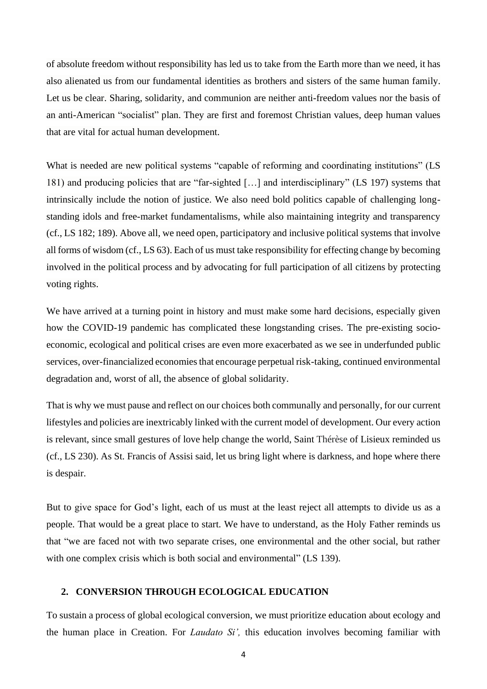of absolute freedom without responsibility has led us to take from the Earth more than we need, it has also alienated us from our fundamental identities as brothers and sisters of the same human family. Let us be clear. Sharing, solidarity, and communion are neither anti-freedom values nor the basis of an anti-American "socialist" plan. They are first and foremost Christian values, deep human values that are vital for actual human development.

What is needed are new political systems "capable of reforming and coordinating institutions" (LS 181) and producing policies that are "far-sighted […] and interdisciplinary" (LS 197) systems that intrinsically include the notion of justice. We also need bold politics capable of challenging longstanding idols and free-market fundamentalisms, while also maintaining integrity and transparency (cf., LS 182; 189). Above all, we need open, participatory and inclusive political systems that involve all forms of wisdom (cf., LS 63). Each of us must take responsibility for effecting change by becoming involved in the political process and by advocating for full participation of all citizens by protecting voting rights.

We have arrived at a turning point in history and must make some hard decisions, especially given how the COVID-19 pandemic has complicated these longstanding crises. The pre-existing socioeconomic, ecological and political crises are even more exacerbated as we see in underfunded public services, over-financialized economies that encourage perpetual risk-taking, continued environmental degradation and, worst of all, the absence of global solidarity.

That is why we must pause and reflect on our choices both communally and personally, for our current lifestyles and policies are inextricably linked with the current model of development. Our every action is relevant, since small gestures of love help change the world, Saint Thérèse of Lisieux reminded us (cf., LS 230). As St. Francis of Assisi said, let us bring light where is darkness, and hope where there is despair.

But to give space for God's light, each of us must at the least reject all attempts to divide us as a people. That would be a great place to start. We have to understand, as the Holy Father reminds us that "we are faced not with two separate crises, one environmental and the other social, but rather with one complex crisis which is both social and environmental" (LS 139).

## **2. CONVERSION THROUGH ECOLOGICAL EDUCATION**

To sustain a process of global ecological conversion, we must prioritize education about ecology and the human place in Creation. For *Laudato Si',* this education involves becoming familiar with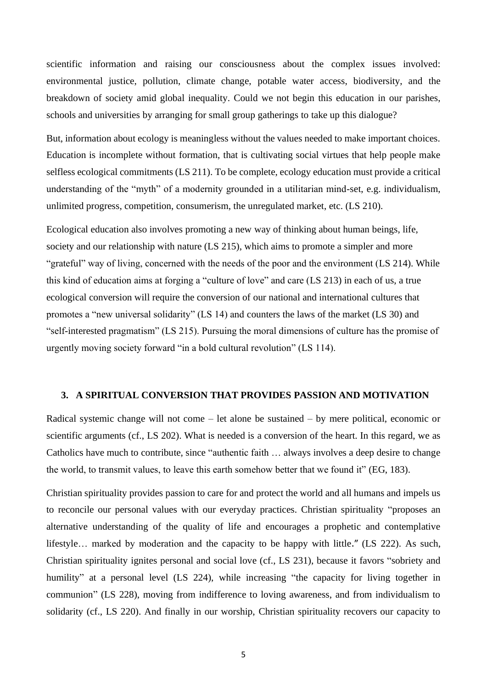scientific information and raising our consciousness about the complex issues involved: environmental justice, pollution, climate change, potable water access, biodiversity, and the breakdown of society amid global inequality. Could we not begin this education in our parishes, schools and universities by arranging for small group gatherings to take up this dialogue?

But, information about ecology is meaningless without the values needed to make important choices. Education is incomplete without formation, that is cultivating social virtues that help people make selfless ecological commitments (LS 211). To be complete, ecology education must provide a critical understanding of the "myth" of a modernity grounded in a utilitarian mind-set, e.g. individualism, unlimited progress, competition, consumerism, the unregulated market, etc. (LS 210).

Ecological education also involves promoting a new way of thinking about human beings, life, society and our relationship with nature (LS 215), which aims to promote a simpler and more "grateful" way of living, concerned with the needs of the poor and the environment (LS 214). While this kind of education aims at forging a "culture of love" and care (LS 213) in each of us, a true ecological conversion will require the conversion of our national and international cultures that promotes a "new universal solidarity" (LS 14) and counters the laws of the market (LS 30) and "self-interested pragmatism" (LS 215). Pursuing the moral dimensions of culture has the promise of urgently moving society forward "in a bold cultural revolution" (LS 114).

#### **3. A SPIRITUAL CONVERSION THAT PROVIDES PASSION AND MOTIVATION**

Radical systemic change will not come – let alone be sustained – by mere political, economic or scientific arguments (cf., LS 202). What is needed is a conversion of the heart. In this regard, we as Catholics have much to contribute, since "authentic faith … always involves a deep desire to change the world, to transmit values, to leave this earth somehow better that we found it" (EG, 183).

Christian spirituality provides passion to care for and protect the world and all humans and impels us to reconcile our personal values with our everyday practices. Christian spirituality "proposes an alternative understanding of the quality of life and encourages a prophetic and contemplative lifestyle… marked by moderation and the capacity to be happy with little." (LS 222). As such, Christian spirituality ignites personal and social love (cf., LS 231), because it favors "sobriety and humility" at a personal level (LS 224), while increasing "the capacity for living together in communion" (LS 228), moving from indifference to loving awareness, and from individualism to solidarity (cf., LS 220). And finally in our worship, Christian spirituality recovers our capacity to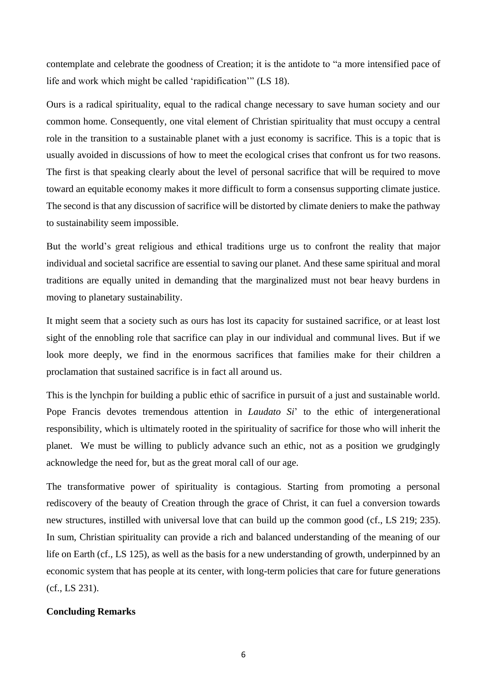contemplate and celebrate the goodness of Creation; it is the antidote to "a more intensified pace of life and work which might be called 'rapidification'" (LS 18).

Ours is a radical spirituality, equal to the radical change necessary to save human society and our common home. Consequently, one vital element of Christian spirituality that must occupy a central role in the transition to a sustainable planet with a just economy is sacrifice. This is a topic that is usually avoided in discussions of how to meet the ecological crises that confront us for two reasons. The first is that speaking clearly about the level of personal sacrifice that will be required to move toward an equitable economy makes it more difficult to form a consensus supporting climate justice. The second is that any discussion of sacrifice will be distorted by climate deniers to make the pathway to sustainability seem impossible.

But the world's great religious and ethical traditions urge us to confront the reality that major individual and societal sacrifice are essential to saving our planet. And these same spiritual and moral traditions are equally united in demanding that the marginalized must not bear heavy burdens in moving to planetary sustainability.

It might seem that a society such as ours has lost its capacity for sustained sacrifice, or at least lost sight of the ennobling role that sacrifice can play in our individual and communal lives. But if we look more deeply, we find in the enormous sacrifices that families make for their children a proclamation that sustained sacrifice is in fact all around us.

This is the lynchpin for building a public ethic of sacrifice in pursuit of a just and sustainable world. Pope Francis devotes tremendous attention in *Laudato Si*' to the ethic of intergenerational responsibility, which is ultimately rooted in the spirituality of sacrifice for those who will inherit the planet. We must be willing to publicly advance such an ethic, not as a position we grudgingly acknowledge the need for, but as the great moral call of our age.

The transformative power of spirituality is contagious. Starting from promoting a personal rediscovery of the beauty of Creation through the grace of Christ, it can fuel a conversion towards new structures, instilled with universal love that can build up the common good (cf., LS 219; 235). In sum, Christian spirituality can provide a rich and balanced understanding of the meaning of our life on Earth (cf., LS 125), as well as the basis for a new understanding of growth, underpinned by an economic system that has people at its center, with long-term policies that care for future generations (cf., LS 231).

## **Concluding Remarks**